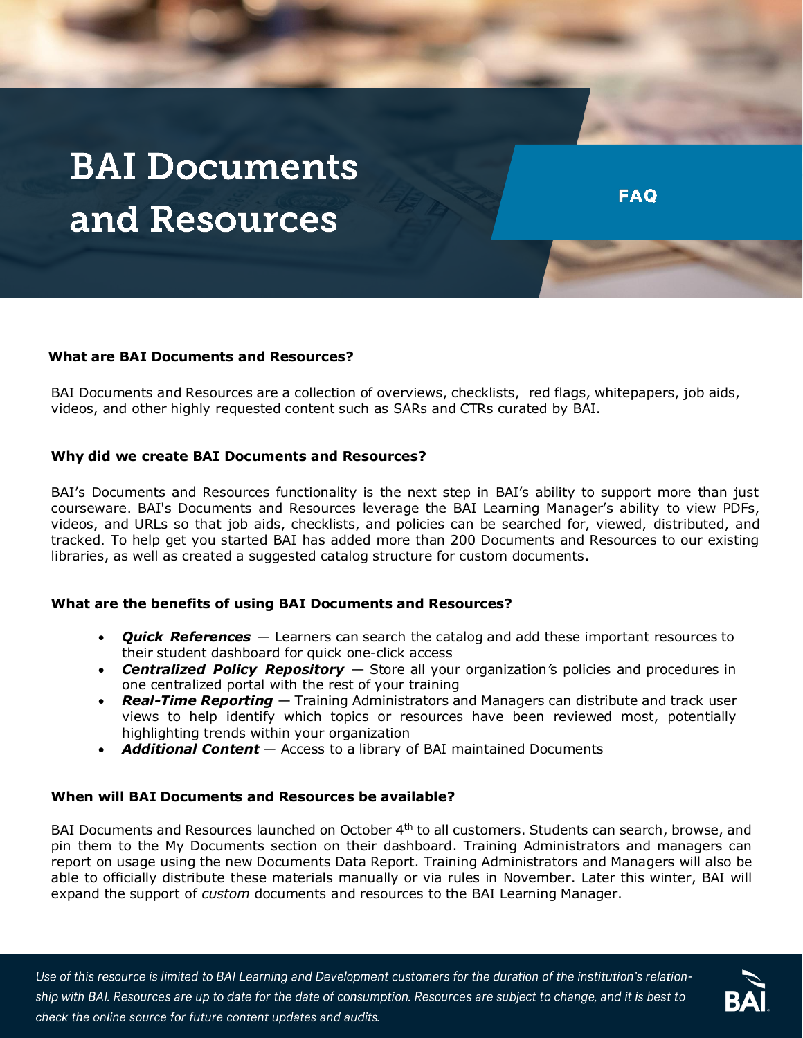# **BAI Documents** and Resources

### **What are BAI Documents and Resources?**

BAI Documents and Resources are a collection of overviews, checklists, red flags, whitepapers, job aids, videos, and other highly requested content such as SARs and CTRs curated by BAI.

#### **Why did we create BAI Documents and Resources?**

BAI's Documents and Resources functionality is the next step in BAI's ability to support more than just courseware. BAI's Documents and Resources leverage the BAI Learning Manager's ability to view PDFs, videos, and URLs so that job aids, checklists, and policies can be searched for, viewed, distributed, and tracked. To help get you started BAI has added more than 200 Documents and Resources to our existing libraries, as well as created a suggested catalog structure for custom documents.

#### **What are the benefits of using BAI Documents and Resources?**

- *Quick References* Learners can search the catalog and add these important resources to their student dashboard for quick one-click access
- *Centralized Policy Repository* Store all your organization*'*s policies and procedures in one centralized portal with the rest of your training
- *Real-Time Reporting* Training Administrators and Managers can distribute and track user views to help identify which topics or resources have been reviewed most, potentially highlighting trends within your organization
- *Additional Content* Access to a library of BAI maintained Documents

#### **When will BAI Documents and Resources be available?**

BAI Documents and Resources launched on October 4<sup>th</sup> to all customers. Students can search, browse, and pin them to the My Documents section on their dashboard. Training Administrators and managers can report on usage using the new Documents Data Report. Training Administrators and Managers will also be able to officially distribute these materials manually or via rules in November. Later this winter, BAI will expand the support of *custom* documents and resources to the BAI Learning Manager.

Use of this resource is limited to BAI Learning and Development customers for the duration of the institution's relationship with BAI. Resources are up to date for the date of consumption. Resources are subject to change, and it is best to check the online source for future content updates and audits.



**FAQ**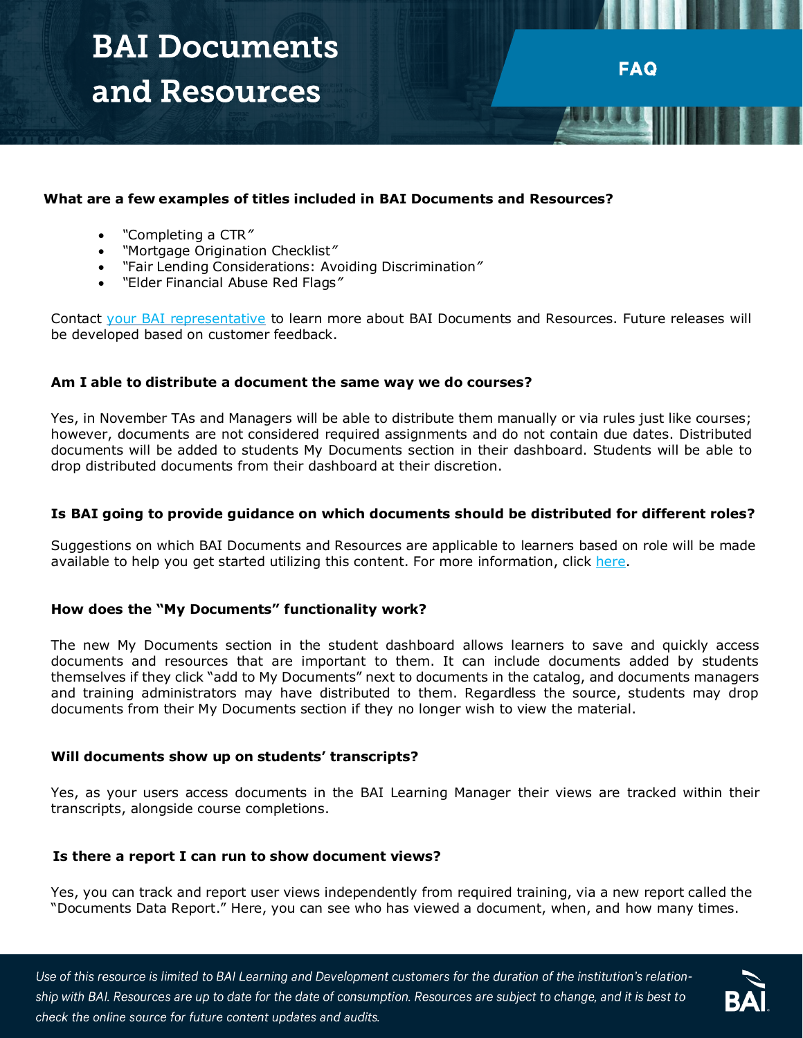# **BAI Documents** and Resources

# **What are a few examples of titles included in BAI Documents and Resources?**

- *"*Completing a CTR*"*
- *"*Mortgage Origination Checklist*"*
- *"*Fair Lending Considerations: Avoiding Discrimination*"*
- *"*Elder Financial Abuse Red Flags*"*

Contact [your BAI representative](https://ld-connect.bai.org/learning-manager/technical-support/) to learn more about BAI Documents and Resources. Future releases will be developed based on customer feedback.

**FAQ** 

### **Am I able to distribute a document the same way we do courses?**

Yes, in November TAs and Managers will be able to distribute them manually or via rules just like courses; however, documents are not considered required assignments and do not contain due dates. Distributed documents will be added to students My Documents section in their dashboard. Students will be able to drop distributed documents from their dashboard at their discretion.

#### **Is BAI going to provide guidance on which documents should be distributed for different roles?**

Suggestions on which BAI Documents and Resources are applicable to learners based on role will be made available to help you get started utilizing this content. For more information, click [here.](https://ld-connect.bai.org/compliance/documents-resources/)

# **How does the "My Documents" functionality work?**

The new My Documents section in the student dashboard allows learners to save and quickly access documents and resources that are important to them. It can include documents added by students themselves if they click "add to My Documents" next to documents in the catalog, and documents managers and training administrators may have distributed to them. Regardless the source, students may drop documents from their My Documents section if they no longer wish to view the material.

#### **Will documents show up on students' transcripts?**

Yes, as your users access documents in the BAI Learning Manager their views are tracked within their transcripts, alongside course completions.

# **Is there a report I can run to show document views?**

Yes, you can track and report user views independently from required training, via a new report called the "Documents Data Report." Here, you can see who has viewed a document, when, and how many times.

Use of this resource is limited to BAI Learning and Development customers for the duration of the institution's relationship with BAI. Resources are up to date for the date of consumption. Resources are subject to change, and it is best to check the online source for future content updates and audits.